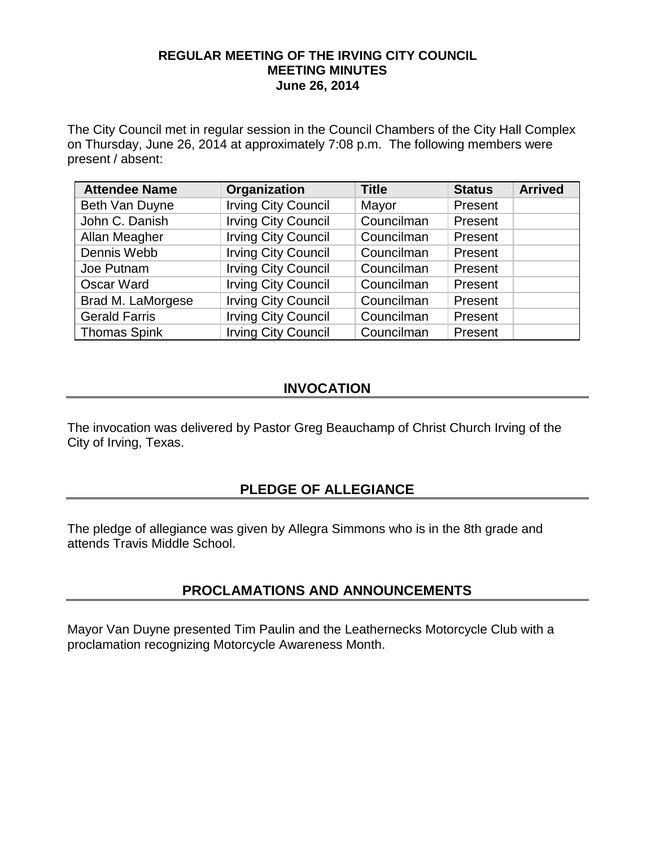## **REGULAR MEETING OF THE IRVING CITY COUNCIL MEETING MINUTES June 26, 2014**

The City Council met in regular session in the Council Chambers of the City Hall Complex on Thursday, June 26, 2014 at approximately 7:08 p.m. The following members were present / absent:

| <b>Attendee Name</b> | Organization               | <b>Title</b> | <b>Status</b> | <b>Arrived</b> |
|----------------------|----------------------------|--------------|---------------|----------------|
| Beth Van Duyne       | <b>Irving City Council</b> | Mayor        | Present       |                |
| John C. Danish       | <b>Irving City Council</b> | Councilman   | Present       |                |
| Allan Meagher        | <b>Irving City Council</b> | Councilman   | Present       |                |
| Dennis Webb          | <b>Irving City Council</b> | Councilman   | Present       |                |
| Joe Putnam           | <b>Irving City Council</b> | Councilman   | Present       |                |
| <b>Oscar Ward</b>    | <b>Irving City Council</b> | Councilman   | Present       |                |
| Brad M. LaMorgese    | <b>Irving City Council</b> | Councilman   | Present       |                |
| <b>Gerald Farris</b> | <b>Irving City Council</b> | Councilman   | Present       |                |
| <b>Thomas Spink</b>  | <b>Irving City Council</b> | Councilman   | Present       |                |

# **INVOCATION**

The invocation was delivered by Pastor Greg Beauchamp of Christ Church Irving of the City of Irving, Texas.

# **PLEDGE OF ALLEGIANCE**

The pledge of allegiance was given by Allegra Simmons who is in the 8th grade and attends Travis Middle School.

# **PROCLAMATIONS AND ANNOUNCEMENTS**

Mayor Van Duyne presented Tim Paulin and the Leathernecks Motorcycle Club with a proclamation recognizing Motorcycle Awareness Month.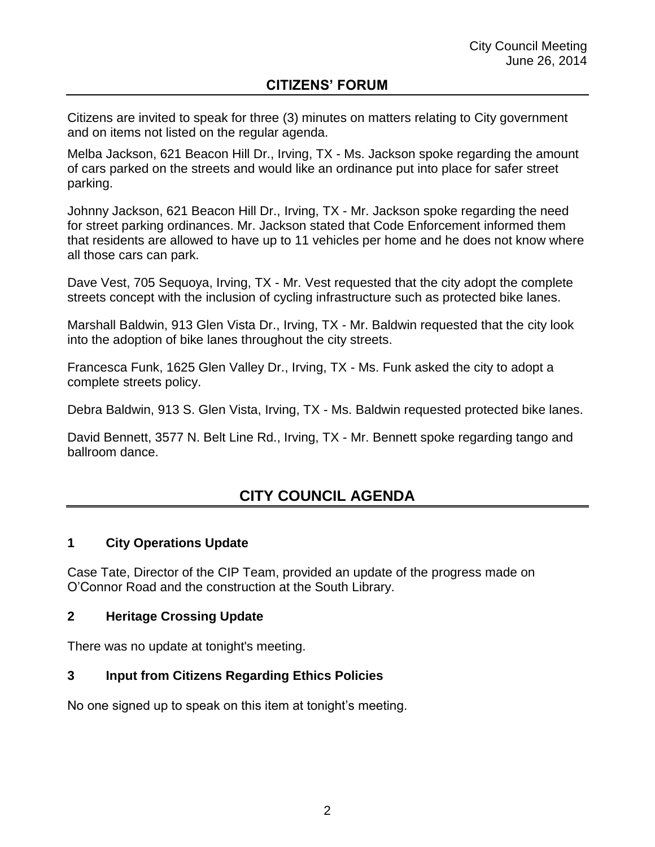## **CITIZENS' FORUM**

Citizens are invited to speak for three (3) minutes on matters relating to City government and on items not listed on the regular agenda.

Melba Jackson, 621 Beacon Hill Dr., Irving, TX - Ms. Jackson spoke regarding the amount of cars parked on the streets and would like an ordinance put into place for safer street parking.

Johnny Jackson, 621 Beacon Hill Dr., Irving, TX - Mr. Jackson spoke regarding the need for street parking ordinances. Mr. Jackson stated that Code Enforcement informed them that residents are allowed to have up to 11 vehicles per home and he does not know where all those cars can park.

Dave Vest, 705 Sequoya, Irving, TX - Mr. Vest requested that the city adopt the complete streets concept with the inclusion of cycling infrastructure such as protected bike lanes.

Marshall Baldwin, 913 Glen Vista Dr., Irving, TX - Mr. Baldwin requested that the city look into the adoption of bike lanes throughout the city streets.

Francesca Funk, 1625 Glen Valley Dr., Irving, TX - Ms. Funk asked the city to adopt a complete streets policy.

Debra Baldwin, 913 S. Glen Vista, Irving, TX - Ms. Baldwin requested protected bike lanes.

David Bennett, 3577 N. Belt Line Rd., Irving, TX - Mr. Bennett spoke regarding tango and ballroom dance.

# **CITY COUNCIL AGENDA**

## **1 City Operations Update**

Case Tate, Director of the CIP Team, provided an update of the progress made on O'Connor Road and the construction at the South Library.

## **2 Heritage Crossing Update**

There was no update at tonight's meeting.

## **3 Input from Citizens Regarding Ethics Policies**

No one signed up to speak on this item at tonight's meeting.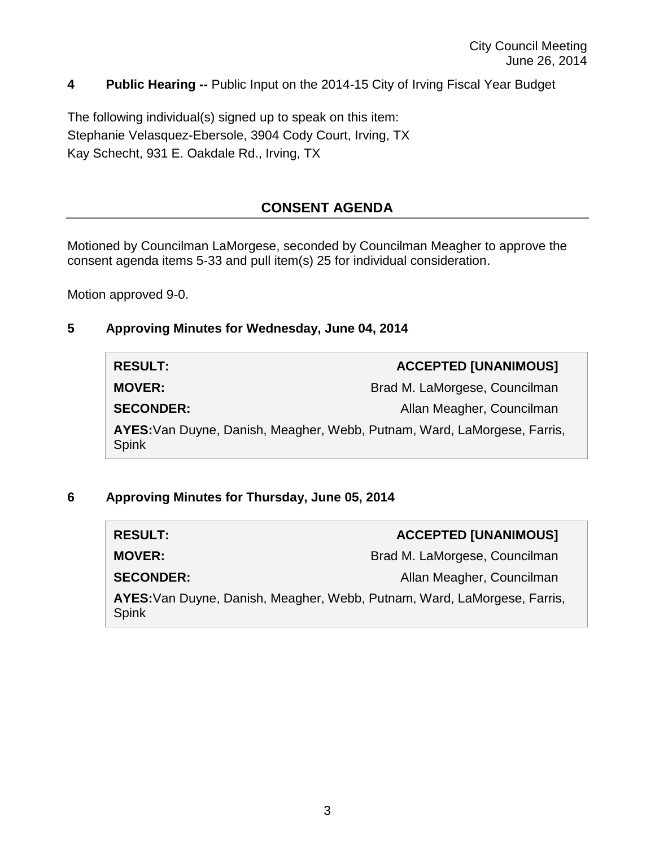## **4 Public Hearing --** Public Input on the 2014-15 City of Irving Fiscal Year Budget

The following individual(s) signed up to speak on this item: Stephanie Velasquez-Ebersole, 3904 Cody Court, Irving, TX Kay Schecht, 931 E. Oakdale Rd., Irving, TX

# **CONSENT AGENDA**

Motioned by Councilman LaMorgese, seconded by Councilman Meagher to approve the consent agenda items 5-33 and pull item(s) 25 for individual consideration.

Motion approved 9-0.

## **5 Approving Minutes for Wednesday, June 04, 2014**

| <b>RESULT:</b>                                                                    | <b>ACCEPTED [UNANIMOUS]</b>   |
|-----------------------------------------------------------------------------------|-------------------------------|
| <b>MOVER:</b>                                                                     | Brad M. LaMorgese, Councilman |
| <b>SECONDER:</b>                                                                  | Allan Meagher, Councilman     |
| AYES: Van Duyne, Danish, Meagher, Webb, Putnam, Ward, LaMorgese, Farris,<br>Spink |                               |

## **6 Approving Minutes for Thursday, June 05, 2014**

| <b>RESULT:</b>                                                                           | <b>ACCEPTED [UNANIMOUS]</b>   |
|------------------------------------------------------------------------------------------|-------------------------------|
| <b>MOVER:</b>                                                                            | Brad M. LaMorgese, Councilman |
| <b>SECONDER:</b>                                                                         | Allan Meagher, Councilman     |
| AYES: Van Duyne, Danish, Meagher, Webb, Putnam, Ward, LaMorgese, Farris,<br><b>Spink</b> |                               |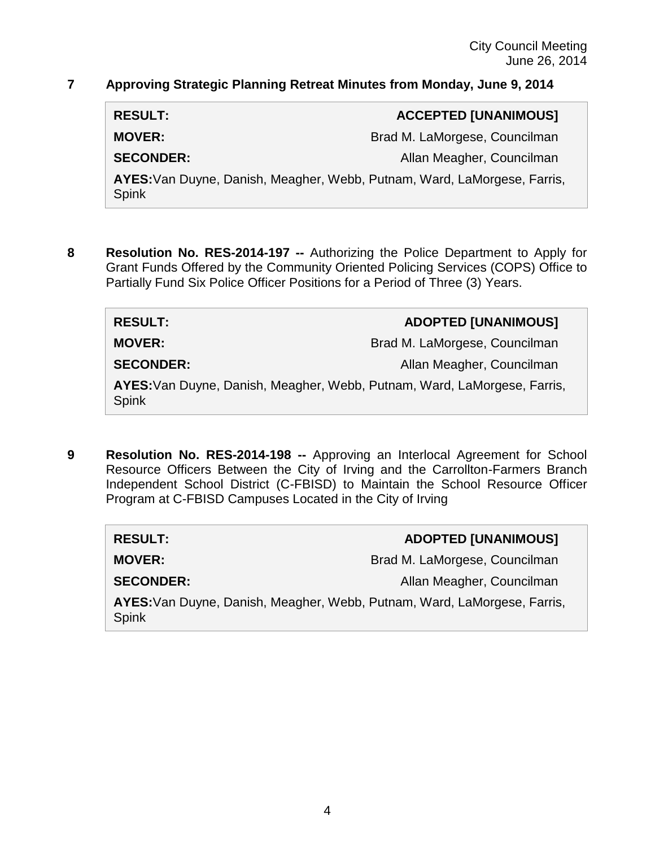## **7 Approving Strategic Planning Retreat Minutes from Monday, June 9, 2014**

**RESULT: ACCEPTED [UNANIMOUS]**

**MOVER:** Brad M. LaMorgese, Councilman

**SECONDER:** Allan Meagher, Councilman

**AYES:**Van Duyne, Danish, Meagher, Webb, Putnam, Ward, LaMorgese, Farris, Spink

**8 Resolution No. RES-2014-197 --** Authorizing the Police Department to Apply for Grant Funds Offered by the Community Oriented Policing Services (COPS) Office to Partially Fund Six Police Officer Positions for a Period of Three (3) Years.

**MOVER:** Brad M. LaMorgese, Councilman

**RESULT: ADOPTED [UNANIMOUS]**

**SECONDER:** Allan Meagher, Councilman

**AYES:**Van Duyne, Danish, Meagher, Webb, Putnam, Ward, LaMorgese, Farris, Spink

**9 Resolution No. RES-2014-198 --** Approving an Interlocal Agreement for School Resource Officers Between the City of Irving and the Carrollton-Farmers Branch Independent School District (C-FBISD) to Maintain the School Resource Officer Program at C-FBISD Campuses Located in the City of Irving

**RESULT: ADOPTED [UNANIMOUS] MOVER:** Brad M. LaMorgese, Councilman **SECONDER:** Allan Meagher, Councilman **AYES:**Van Duyne, Danish, Meagher, Webb, Putnam, Ward, LaMorgese, Farris, Spink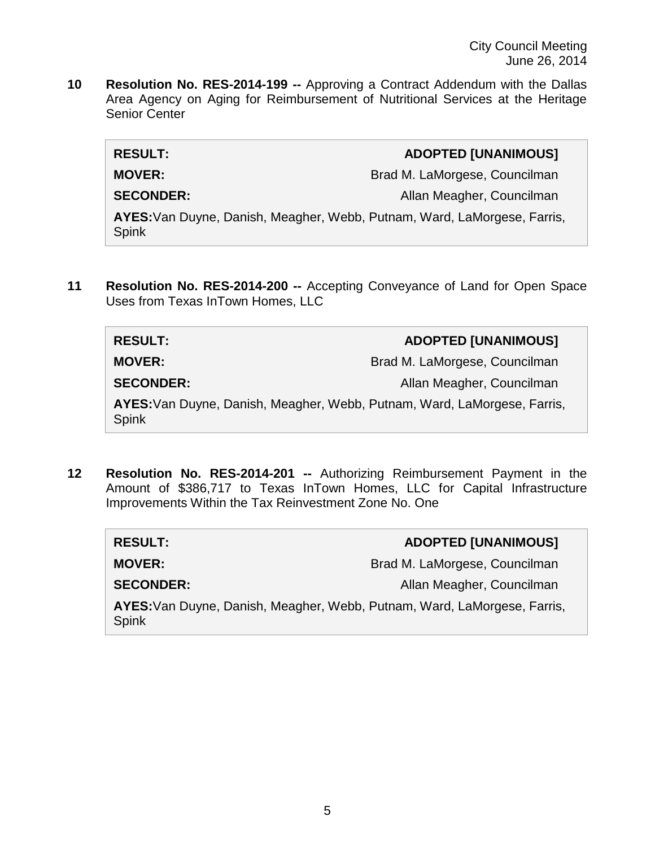**10 Resolution No. RES-2014-199 --** Approving a Contract Addendum with the Dallas Area Agency on Aging for Reimbursement of Nutritional Services at the Heritage Senior Center

| <b>RESULT:</b>                                                                    | <b>ADOPTED [UNANIMOUS]</b>    |
|-----------------------------------------------------------------------------------|-------------------------------|
| <b>MOVER:</b>                                                                     | Brad M. LaMorgese, Councilman |
| <b>SECONDER:</b>                                                                  | Allan Meagher, Councilman     |
| AYES: Van Duyne, Danish, Meagher, Webb, Putnam, Ward, LaMorgese, Farris,<br>Spink |                               |

**11 Resolution No. RES-2014-200 --** Accepting Conveyance of Land for Open Space Uses from Texas InTown Homes, LLC

| <b>RESULT:</b>                                                                           | <b>ADOPTED [UNANIMOUS]</b>    |
|------------------------------------------------------------------------------------------|-------------------------------|
| <b>MOVER:</b>                                                                            | Brad M. LaMorgese, Councilman |
| <b>SECONDER:</b>                                                                         | Allan Meagher, Councilman     |
| AYES: Van Duyne, Danish, Meagher, Webb, Putnam, Ward, LaMorgese, Farris,<br><b>Spink</b> |                               |

**12 Resolution No. RES-2014-201 --** Authorizing Reimbursement Payment in the Amount of \$386,717 to Texas InTown Homes, LLC for Capital Infrastructure Improvements Within the Tax Reinvestment Zone No. One

| <b>RESULT:</b>                                                                    | <b>ADOPTED [UNANIMOUS]</b>    |
|-----------------------------------------------------------------------------------|-------------------------------|
| <b>MOVER:</b>                                                                     | Brad M. LaMorgese, Councilman |
| <b>SECONDER:</b>                                                                  | Allan Meagher, Councilman     |
| AYES: Van Duyne, Danish, Meagher, Webb, Putnam, Ward, LaMorgese, Farris,<br>Spink |                               |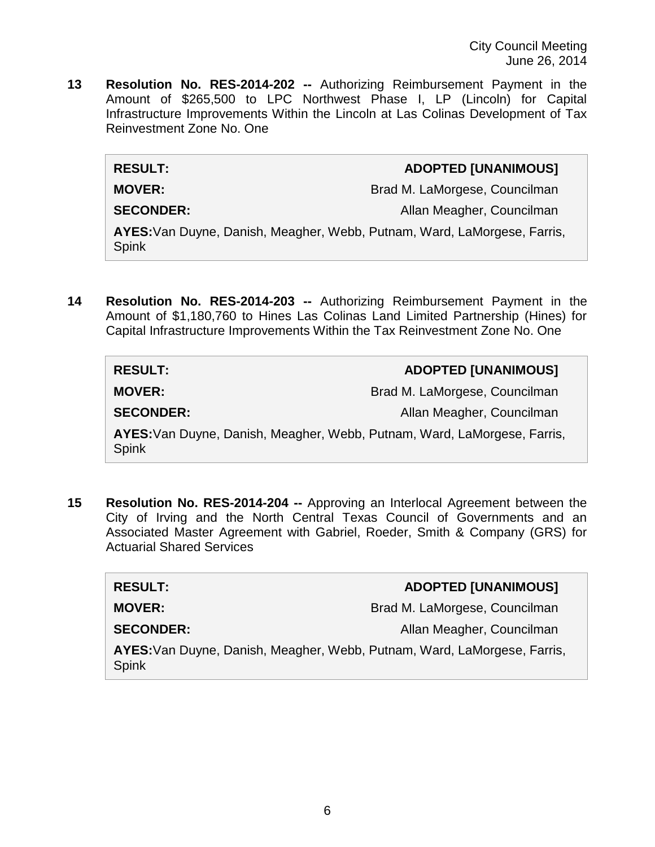City Council Meeting June 26, 2014

**13 Resolution No. RES-2014-202 --** Authorizing Reimbursement Payment in the Amount of \$265,500 to LPC Northwest Phase I, LP (Lincoln) for Capital Infrastructure Improvements Within the Lincoln at Las Colinas Development of Tax Reinvestment Zone No. One

## **RESULT: ADOPTED [UNANIMOUS]**

**MOVER:** Brad M. LaMorgese, Councilman

**SECONDER:** Allan Meagher, Councilman

**AYES:**Van Duyne, Danish, Meagher, Webb, Putnam, Ward, LaMorgese, Farris, Spink

**14 Resolution No. RES-2014-203 --** Authorizing Reimbursement Payment in the Amount of \$1,180,760 to Hines Las Colinas Land Limited Partnership (Hines) for Capital Infrastructure Improvements Within the Tax Reinvestment Zone No. One

| <b>RESULT:</b>                                                                           | <b>ADOPTED [UNANIMOUS]</b>    |
|------------------------------------------------------------------------------------------|-------------------------------|
| <b>MOVER:</b>                                                                            | Brad M. LaMorgese, Councilman |
| <b>SECONDER:</b>                                                                         | Allan Meagher, Councilman     |
| AYES: Van Duyne, Danish, Meagher, Webb, Putnam, Ward, LaMorgese, Farris,<br><b>Spink</b> |                               |

**15 Resolution No. RES-2014-204 --** Approving an Interlocal Agreement between the City of Irving and the North Central Texas Council of Governments and an Associated Master Agreement with Gabriel, Roeder, Smith & Company (GRS) for Actuarial Shared Services

| <b>RESULT:</b>                                                                           | <b>ADOPTED [UNANIMOUS]</b>    |
|------------------------------------------------------------------------------------------|-------------------------------|
| <b>MOVER:</b>                                                                            | Brad M. LaMorgese, Councilman |
| <b>SECONDER:</b>                                                                         | Allan Meagher, Councilman     |
| AYES: Van Duyne, Danish, Meagher, Webb, Putnam, Ward, LaMorgese, Farris,<br><b>Spink</b> |                               |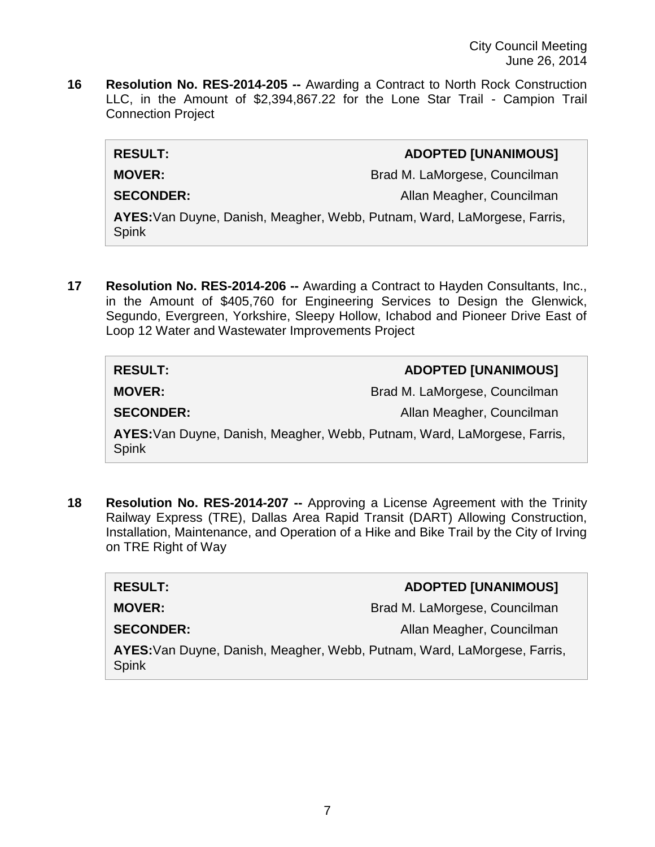**16 Resolution No. RES-2014-205 --** Awarding a Contract to North Rock Construction LLC, in the Amount of \$2,394,867.22 for the Lone Star Trail - Campion Trail Connection Project

| <b>RESULT:</b>                                                                           | <b>ADOPTED [UNANIMOUS]</b>    |
|------------------------------------------------------------------------------------------|-------------------------------|
| <b>MOVER:</b>                                                                            | Brad M. LaMorgese, Councilman |
| <b>SECONDER:</b>                                                                         | Allan Meagher, Councilman     |
| AYES: Van Duyne, Danish, Meagher, Webb, Putnam, Ward, LaMorgese, Farris,<br><b>Spink</b> |                               |
|                                                                                          |                               |

**17 Resolution No. RES-2014-206 --** Awarding a Contract to Hayden Consultants, Inc., in the Amount of \$405,760 for Engineering Services to Design the Glenwick, Segundo, Evergreen, Yorkshire, Sleepy Hollow, Ichabod and Pioneer Drive East of Loop 12 Water and Wastewater Improvements Project

| <b>RESULT:</b>                                                                           | <b>ADOPTED [UNANIMOUS]</b>    |
|------------------------------------------------------------------------------------------|-------------------------------|
| <b>MOVER:</b>                                                                            | Brad M. LaMorgese, Councilman |
| <b>SECONDER:</b>                                                                         | Allan Meagher, Councilman     |
| AYES: Van Duyne, Danish, Meagher, Webb, Putnam, Ward, LaMorgese, Farris,<br><b>Spink</b> |                               |

**18 Resolution No. RES-2014-207 --** Approving a License Agreement with the Trinity Railway Express (TRE), Dallas Area Rapid Transit (DART) Allowing Construction, Installation, Maintenance, and Operation of a Hike and Bike Trail by the City of Irving on TRE Right of Way

| <b>RESULT:</b>                                                                           | <b>ADOPTED [UNANIMOUS]</b>    |
|------------------------------------------------------------------------------------------|-------------------------------|
| <b>MOVER:</b>                                                                            | Brad M. LaMorgese, Councilman |
| <b>SECONDER:</b>                                                                         | Allan Meagher, Councilman     |
| AYES: Van Duyne, Danish, Meagher, Webb, Putnam, Ward, LaMorgese, Farris,<br><b>Spink</b> |                               |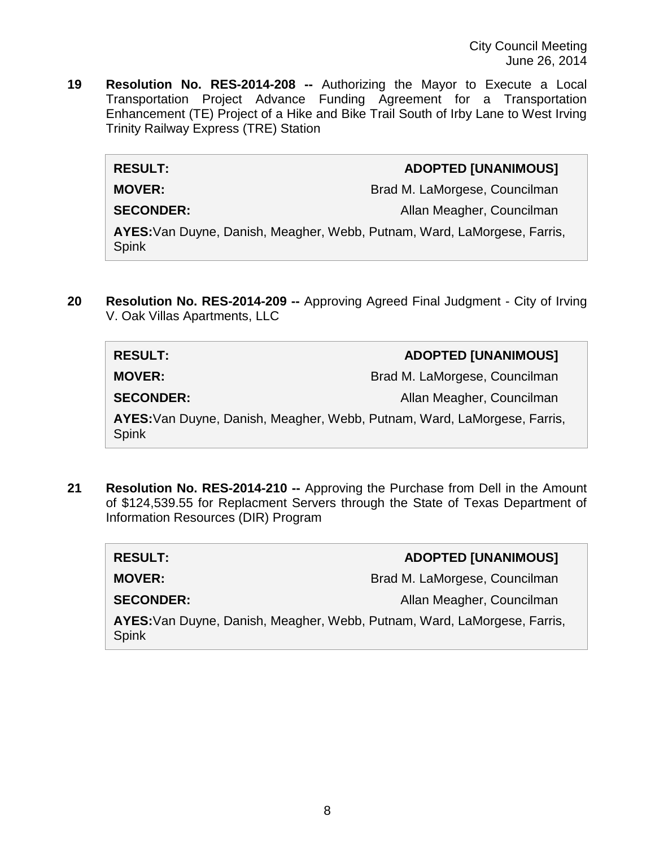City Council Meeting June 26, 2014

**19 Resolution No. RES-2014-208 --** Authorizing the Mayor to Execute a Local Transportation Project Advance Funding Agreement for a Transportation Enhancement (TE) Project of a Hike and Bike Trail South of Irby Lane to West Irving Trinity Railway Express (TRE) Station

## **RESULT: ADOPTED [UNANIMOUS]**

**MOVER:** Brad M. LaMorgese, Councilman

**SECONDER:** Allan Meagher, Councilman

**AYES:**Van Duyne, Danish, Meagher, Webb, Putnam, Ward, LaMorgese, Farris, Spink

**20 Resolution No. RES-2014-209 --** Approving Agreed Final Judgment - City of Irving V. Oak Villas Apartments, LLC

| <b>RESULT:</b>                                                                           | <b>ADOPTED [UNANIMOUS]</b>    |
|------------------------------------------------------------------------------------------|-------------------------------|
| <b>MOVER:</b>                                                                            | Brad M. LaMorgese, Councilman |
| <b>SECONDER:</b>                                                                         | Allan Meagher, Councilman     |
| AYES: Van Duyne, Danish, Meagher, Webb, Putnam, Ward, LaMorgese, Farris,<br><b>Spink</b> |                               |

**21 Resolution No. RES-2014-210 --** Approving the Purchase from Dell in the Amount of \$124,539.55 for Replacment Servers through the State of Texas Department of Information Resources (DIR) Program

| <b>RESULT:</b>                                                                           | <b>ADOPTED [UNANIMOUS]</b>    |
|------------------------------------------------------------------------------------------|-------------------------------|
| <b>MOVER:</b>                                                                            | Brad M. LaMorgese, Councilman |
| <b>SECONDER:</b>                                                                         | Allan Meagher, Councilman     |
| AYES: Van Duyne, Danish, Meagher, Webb, Putnam, Ward, LaMorgese, Farris,<br><b>Spink</b> |                               |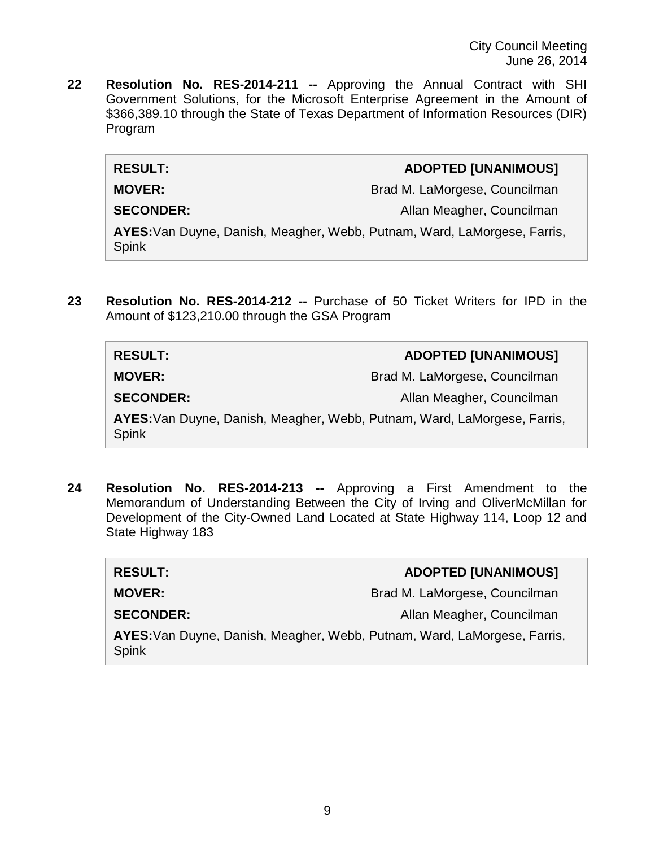City Council Meeting June 26, 2014

**22 Resolution No. RES-2014-211 --** Approving the Annual Contract with SHI Government Solutions, for the Microsoft Enterprise Agreement in the Amount of \$366,389.10 through the State of Texas Department of Information Resources (DIR) Program

### **RESULT: ADOPTED [UNANIMOUS]**

**MOVER:** Brad M. LaMorgese, Councilman

**SECONDER:** Allan Meagher, Councilman

**AYES:**Van Duyne, Danish, Meagher, Webb, Putnam, Ward, LaMorgese, Farris, Spink

**23 Resolution No. RES-2014-212 --** Purchase of 50 Ticket Writers for IPD in the Amount of \$123,210.00 through the GSA Program

# **RESULT: ADOPTED [UNANIMOUS] MOVER:** Brad M. LaMorgese, Councilman **SECONDER:** Allan Meagher, Councilman **AYES:**Van Duyne, Danish, Meagher, Webb, Putnam, Ward, LaMorgese, Farris, Spink

**24 Resolution No. RES-2014-213 --** Approving a First Amendment to the Memorandum of Understanding Between the City of Irving and OliverMcMillan for Development of the City-Owned Land Located at State Highway 114, Loop 12 and State Highway 183

| <b>RESULT:</b>                                                                           | <b>ADOPTED [UNANIMOUS]</b>    |
|------------------------------------------------------------------------------------------|-------------------------------|
| <b>MOVER:</b>                                                                            | Brad M. LaMorgese, Councilman |
| <b>SECONDER:</b>                                                                         | Allan Meagher, Councilman     |
| AYES: Van Duyne, Danish, Meagher, Webb, Putnam, Ward, LaMorgese, Farris,<br><b>Spink</b> |                               |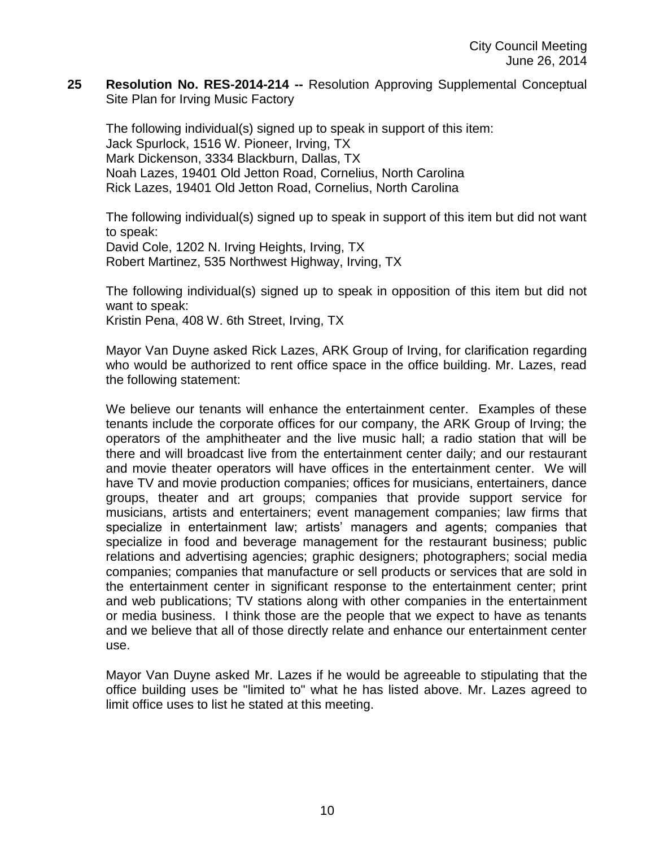**25 Resolution No. RES-2014-214 --** Resolution Approving Supplemental Conceptual Site Plan for Irving Music Factory

The following individual(s) signed up to speak in support of this item: Jack Spurlock, 1516 W. Pioneer, Irving, TX Mark Dickenson, 3334 Blackburn, Dallas, TX Noah Lazes, 19401 Old Jetton Road, Cornelius, North Carolina Rick Lazes, 19401 Old Jetton Road, Cornelius, North Carolina

The following individual(s) signed up to speak in support of this item but did not want to speak: David Cole, 1202 N. Irving Heights, Irving, TX Robert Martinez, 535 Northwest Highway, Irving, TX

The following individual(s) signed up to speak in opposition of this item but did not want to speak:

Kristin Pena, 408 W. 6th Street, Irving, TX

Mayor Van Duyne asked Rick Lazes, ARK Group of Irving, for clarification regarding who would be authorized to rent office space in the office building. Mr. Lazes, read the following statement:

We believe our tenants will enhance the entertainment center. Examples of these tenants include the corporate offices for our company, the ARK Group of Irving; the operators of the amphitheater and the live music hall; a radio station that will be there and will broadcast live from the entertainment center daily; and our restaurant and movie theater operators will have offices in the entertainment center. We will have TV and movie production companies; offices for musicians, entertainers, dance groups, theater and art groups; companies that provide support service for musicians, artists and entertainers; event management companies; law firms that specialize in entertainment law; artists' managers and agents; companies that specialize in food and beverage management for the restaurant business; public relations and advertising agencies; graphic designers; photographers; social media companies; companies that manufacture or sell products or services that are sold in the entertainment center in significant response to the entertainment center; print and web publications; TV stations along with other companies in the entertainment or media business. I think those are the people that we expect to have as tenants and we believe that all of those directly relate and enhance our entertainment center use.

Mayor Van Duyne asked Mr. Lazes if he would be agreeable to stipulating that the office building uses be "limited to" what he has listed above. Mr. Lazes agreed to limit office uses to list he stated at this meeting.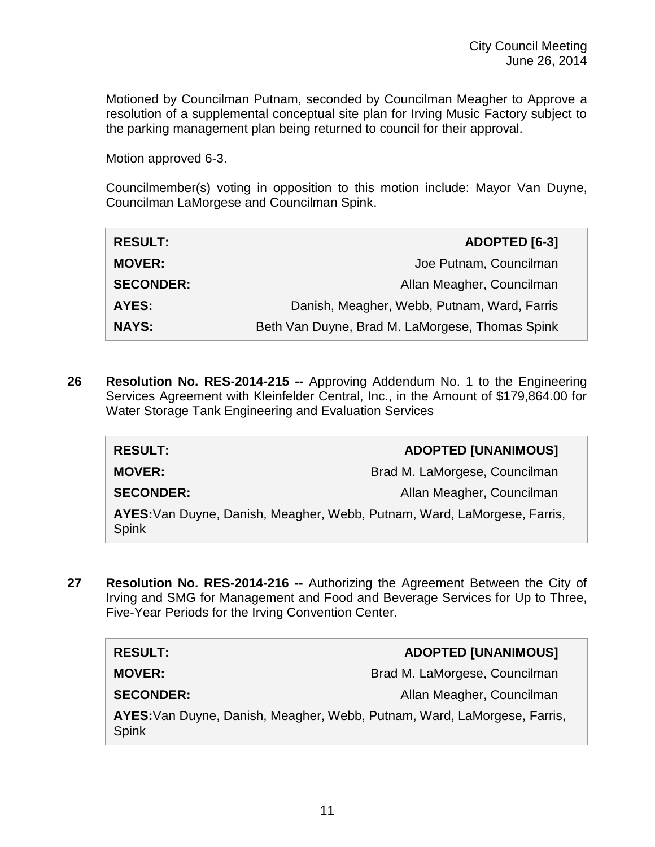Motioned by Councilman Putnam, seconded by Councilman Meagher to Approve a resolution of a supplemental conceptual site plan for Irving Music Factory subject to the parking management plan being returned to council for their approval.

Motion approved 6-3.

Councilmember(s) voting in opposition to this motion include: Mayor Van Duyne, Councilman LaMorgese and Councilman Spink.

| <b>RESULT:</b>   | ADOPTED [6-3]                                   |
|------------------|-------------------------------------------------|
| <b>MOVER:</b>    | Joe Putnam, Councilman                          |
| <b>SECONDER:</b> | Allan Meagher, Councilman                       |
| AYES:            | Danish, Meagher, Webb, Putnam, Ward, Farris     |
| <b>NAYS:</b>     | Beth Van Duyne, Brad M. LaMorgese, Thomas Spink |

**26 Resolution No. RES-2014-215 --** Approving Addendum No. 1 to the Engineering Services Agreement with Kleinfelder Central, Inc., in the Amount of \$179,864.00 for Water Storage Tank Engineering and Evaluation Services

| <b>RESULT:</b>                                                                           | <b>ADOPTED [UNANIMOUS]</b>    |
|------------------------------------------------------------------------------------------|-------------------------------|
| <b>MOVER:</b>                                                                            | Brad M. LaMorgese, Councilman |
| <b>SECONDER:</b>                                                                         | Allan Meagher, Councilman     |
| AYES: Van Duyne, Danish, Meagher, Webb, Putnam, Ward, LaMorgese, Farris,<br><b>Spink</b> |                               |

**27 Resolution No. RES-2014-216 --** Authorizing the Agreement Between the City of Irving and SMG for Management and Food and Beverage Services for Up to Three, Five-Year Periods for the Irving Convention Center.

| <b>RESULT:</b>                                                                           | <b>ADOPTED [UNANIMOUS]</b>    |  |
|------------------------------------------------------------------------------------------|-------------------------------|--|
| <b>MOVER:</b>                                                                            | Brad M. LaMorgese, Councilman |  |
| <b>SECONDER:</b>                                                                         | Allan Meagher, Councilman     |  |
| AYES: Van Duyne, Danish, Meagher, Webb, Putnam, Ward, LaMorgese, Farris,<br><b>Spink</b> |                               |  |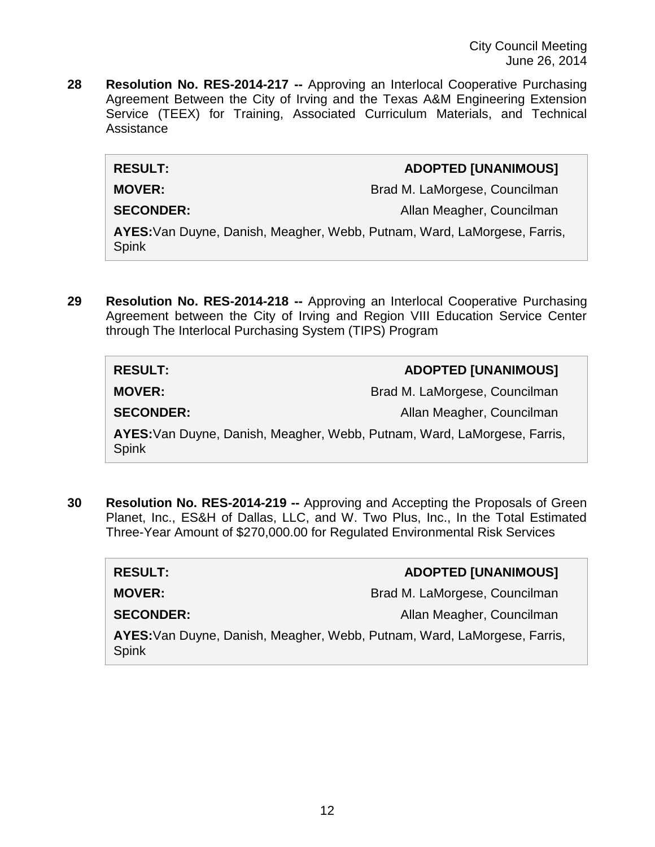City Council Meeting June 26, 2014

**28 Resolution No. RES-2014-217 --** Approving an Interlocal Cooperative Purchasing Agreement Between the City of Irving and the Texas A&M Engineering Extension Service (TEEX) for Training, Associated Curriculum Materials, and Technical Assistance

## **RESULT: ADOPTED [UNANIMOUS]**

**MOVER:** Brad M. LaMorgese, Councilman

**SECONDER:** Allan Meagher, Councilman

**AYES:**Van Duyne, Danish, Meagher, Webb, Putnam, Ward, LaMorgese, Farris, Spink

**29 Resolution No. RES-2014-218 --** Approving an Interlocal Cooperative Purchasing Agreement between the City of Irving and Region VIII Education Service Center through The Interlocal Purchasing System (TIPS) Program

| <b>RESULT:</b>                                                                           | <b>ADOPTED [UNANIMOUS]</b>    |
|------------------------------------------------------------------------------------------|-------------------------------|
| <b>MOVER:</b>                                                                            | Brad M. LaMorgese, Councilman |
| <b>SECONDER:</b>                                                                         | Allan Meagher, Councilman     |
| AYES: Van Duyne, Danish, Meagher, Webb, Putnam, Ward, LaMorgese, Farris,<br><b>Spink</b> |                               |

**30 Resolution No. RES-2014-219 --** Approving and Accepting the Proposals of Green Planet, Inc., ES&H of Dallas, LLC, and W. Two Plus, Inc., In the Total Estimated Three-Year Amount of \$270,000.00 for Regulated Environmental Risk Services

| <b>RESULT:</b>                                                                           | <b>ADOPTED [UNANIMOUS]</b>    |  |
|------------------------------------------------------------------------------------------|-------------------------------|--|
| <b>MOVER:</b>                                                                            | Brad M. LaMorgese, Councilman |  |
| <b>SECONDER:</b>                                                                         | Allan Meagher, Councilman     |  |
| AYES: Van Duyne, Danish, Meagher, Webb, Putnam, Ward, LaMorgese, Farris,<br><b>Spink</b> |                               |  |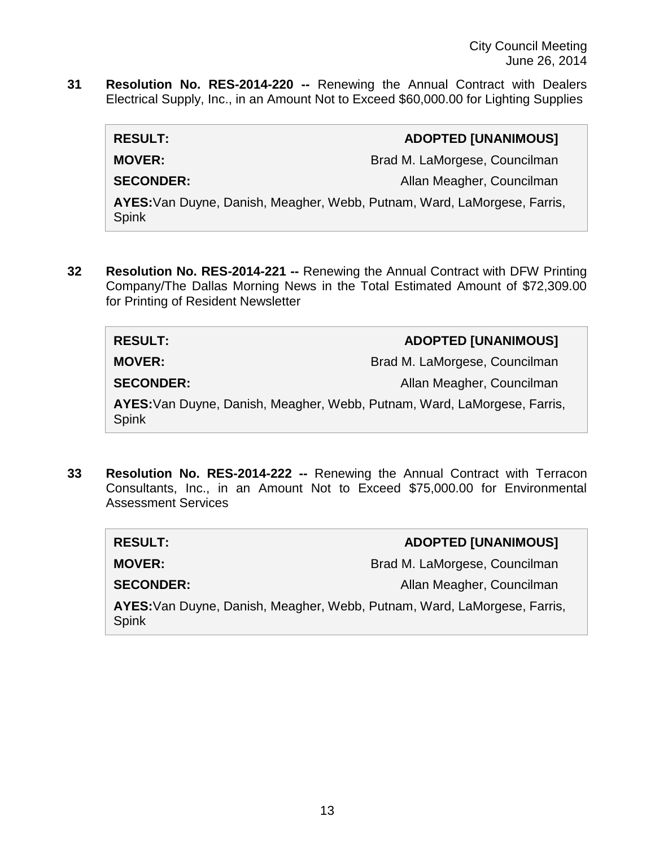**31 Resolution No. RES-2014-220 --** Renewing the Annual Contract with Dealers Electrical Supply, Inc., in an Amount Not to Exceed \$60,000.00 for Lighting Supplies

| <b>RESULT:</b>   |  | <b>ADOPTED [UNANIMOUS]</b>                                        |
|------------------|--|-------------------------------------------------------------------|
| <b>MOVER:</b>    |  | Brad M. LaMorgese, Councilman                                     |
| <b>SECONDER:</b> |  | Allan Meagher, Councilman                                         |
|                  |  | AVER, Jon Durno, Donjoh Mooghar Wohn Dutnom Ward LoMorgoog Forrio |

**AYES:**Van Duyne, Danish, Meagher, Webb, Putnam, Ward, LaMorgese, Farris, Spink

**32 Resolution No. RES-2014-221 --** Renewing the Annual Contract with DFW Printing Company/The Dallas Morning News in the Total Estimated Amount of \$72,309.00 for Printing of Resident Newsletter

| <b>RESULT:</b>                                                                           | <b>ADOPTED [UNANIMOUS]</b>    |
|------------------------------------------------------------------------------------------|-------------------------------|
| <b>MOVER:</b>                                                                            | Brad M. LaMorgese, Councilman |
| <b>SECONDER:</b>                                                                         | Allan Meagher, Councilman     |
| AYES: Van Duyne, Danish, Meagher, Webb, Putnam, Ward, LaMorgese, Farris,<br><b>Spink</b> |                               |

**33 Resolution No. RES-2014-222 --** Renewing the Annual Contract with Terracon Consultants, Inc., in an Amount Not to Exceed \$75,000.00 for Environmental Assessment Services

| <b>RESULT:</b>                                                                           | <b>ADOPTED [UNANIMOUS]</b>    |
|------------------------------------------------------------------------------------------|-------------------------------|
| <b>MOVER:</b>                                                                            | Brad M. LaMorgese, Councilman |
| <b>SECONDER:</b>                                                                         | Allan Meagher, Councilman     |
| AYES: Van Duyne, Danish, Meagher, Webb, Putnam, Ward, LaMorgese, Farris,<br><b>Spink</b> |                               |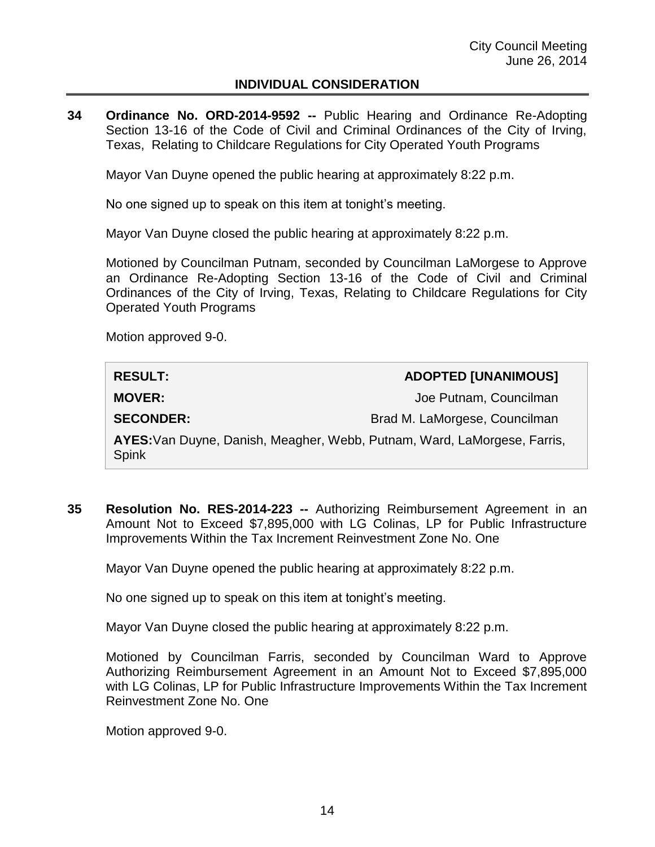## **INDIVIDUAL CONSIDERATION**

**34 Ordinance No. ORD-2014-9592 --** Public Hearing and Ordinance Re-Adopting Section 13-16 of the Code of Civil and Criminal Ordinances of the City of Irving, Texas, Relating to Childcare Regulations for City Operated Youth Programs

Mayor Van Duyne opened the public hearing at approximately 8:22 p.m.

No one signed up to speak on this item at tonight's meeting.

Mayor Van Duyne closed the public hearing at approximately 8:22 p.m.

Motioned by Councilman Putnam, seconded by Councilman LaMorgese to Approve an Ordinance Re-Adopting Section 13-16 of the Code of Civil and Criminal Ordinances of the City of Irving, Texas, Relating to Childcare Regulations for City Operated Youth Programs

Motion approved 9-0.

| <b>RESULT:</b>                                                                           | <b>ADOPTED [UNANIMOUS]</b>    |
|------------------------------------------------------------------------------------------|-------------------------------|
| <b>MOVER:</b>                                                                            | Joe Putnam, Councilman        |
| <b>SECONDER:</b>                                                                         | Brad M. LaMorgese, Councilman |
| AYES: Van Duyne, Danish, Meagher, Webb, Putnam, Ward, LaMorgese, Farris,<br><b>Spink</b> |                               |

**35 Resolution No. RES-2014-223 --** Authorizing Reimbursement Agreement in an Amount Not to Exceed \$7,895,000 with LG Colinas, LP for Public Infrastructure Improvements Within the Tax Increment Reinvestment Zone No. One

Mayor Van Duyne opened the public hearing at approximately 8:22 p.m.

No one signed up to speak on this item at tonight's meeting.

Mayor Van Duyne closed the public hearing at approximately 8:22 p.m.

Motioned by Councilman Farris, seconded by Councilman Ward to Approve Authorizing Reimbursement Agreement in an Amount Not to Exceed \$7,895,000 with LG Colinas, LP for Public Infrastructure Improvements Within the Tax Increment Reinvestment Zone No. One

Motion approved 9-0.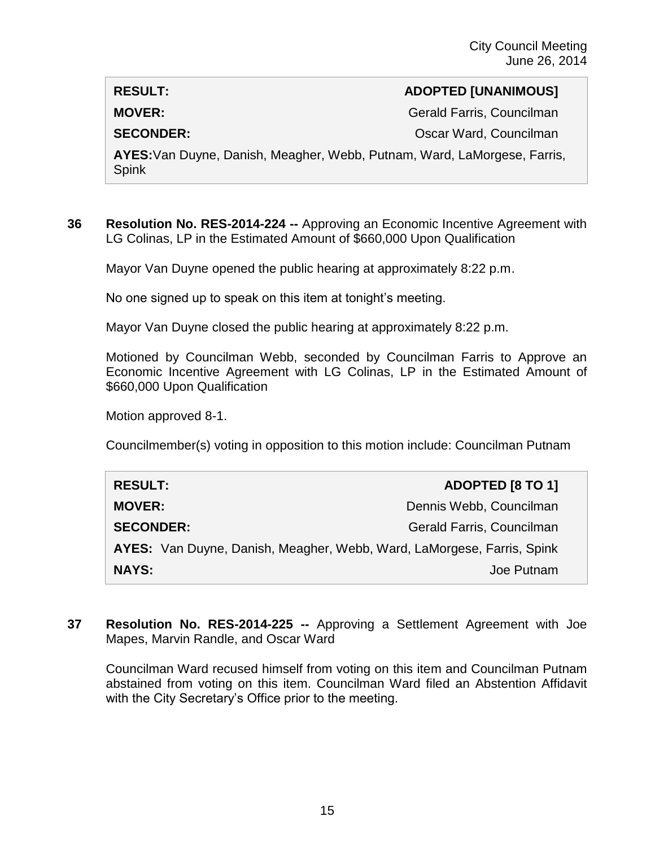## **RESULT: ADOPTED [UNANIMOUS]**

**MOVER:** Gerald Farris, Councilman

**SECONDER:** CONDER: CONDER: CONDER: CONDER: CONDER: CONDER: CONDER: CONDER: CONDER: CONDER: CONDER: CONDER: CONDER: CONDER: CONDER: CONDER: CONDER: CONDER: CONDER: CONDER: CONDER: CONDER: CONDER: CONDER: CONDER: CONDER: CO

**AYES:**Van Duyne, Danish, Meagher, Webb, Putnam, Ward, LaMorgese, Farris, Spink

**36 Resolution No. RES-2014-224 --** Approving an Economic Incentive Agreement with LG Colinas, LP in the Estimated Amount of \$660,000 Upon Qualification

Mayor Van Duyne opened the public hearing at approximately 8:22 p.m.

No one signed up to speak on this item at tonight's meeting.

Mayor Van Duyne closed the public hearing at approximately 8:22 p.m.

Motioned by Councilman Webb, seconded by Councilman Farris to Approve an Economic Incentive Agreement with LG Colinas, LP in the Estimated Amount of \$660,000 Upon Qualification

Motion approved 8-1.

Councilmember(s) voting in opposition to this motion include: Councilman Putnam

| <b>RESULT:</b>                                                         | ADOPTED [8 TO 1]          |
|------------------------------------------------------------------------|---------------------------|
| <b>MOVER:</b>                                                          | Dennis Webb, Councilman   |
| <b>SECONDER:</b>                                                       | Gerald Farris, Councilman |
| AYES: Van Duyne, Danish, Meagher, Webb, Ward, LaMorgese, Farris, Spink |                           |
| <b>NAYS:</b>                                                           | Joe Putnam                |

**37 Resolution No. RES-2014-225 --** Approving a Settlement Agreement with Joe Mapes, Marvin Randle, and Oscar Ward

Councilman Ward recused himself from voting on this item and Councilman Putnam abstained from voting on this item. Councilman Ward filed an Abstention Affidavit with the City Secretary's Office prior to the meeting.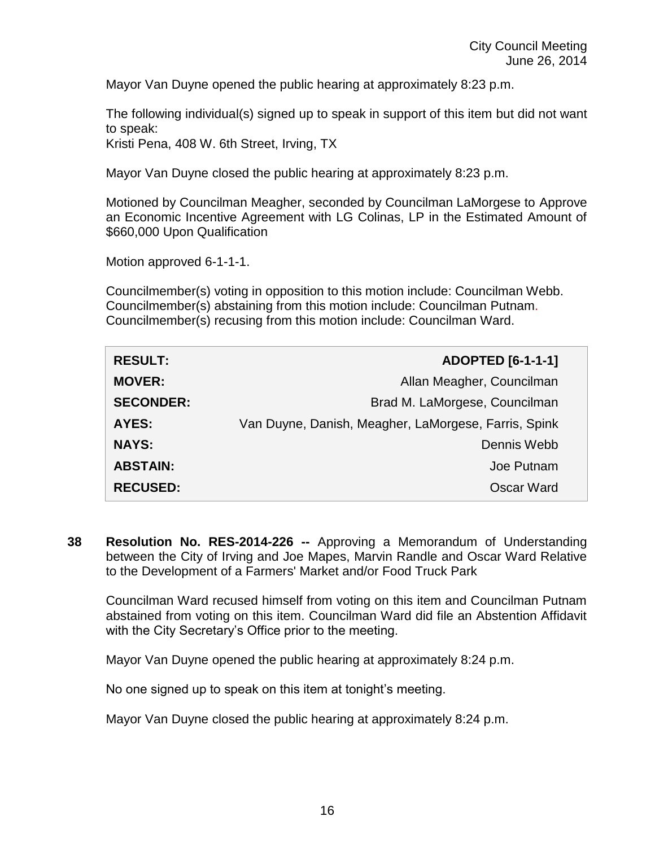Mayor Van Duyne opened the public hearing at approximately 8:23 p.m.

The following individual(s) signed up to speak in support of this item but did not want to speak:

Kristi Pena, 408 W. 6th Street, Irving, TX

Mayor Van Duyne closed the public hearing at approximately 8:23 p.m.

Motioned by Councilman Meagher, seconded by Councilman LaMorgese to Approve an Economic Incentive Agreement with LG Colinas, LP in the Estimated Amount of \$660,000 Upon Qualification

Motion approved 6-1-1-1.

Councilmember(s) voting in opposition to this motion include: Councilman Webb. Councilmember(s) abstaining from this motion include: Councilman Putnam. Councilmember(s) recusing from this motion include: Councilman Ward.

| <b>RESULT:</b>   | <b>ADOPTED [6-1-1-1]</b>                             |
|------------------|------------------------------------------------------|
| <b>MOVER:</b>    | Allan Meagher, Councilman                            |
| <b>SECONDER:</b> | Brad M. LaMorgese, Councilman                        |
| AYES:            | Van Duyne, Danish, Meagher, LaMorgese, Farris, Spink |
| <b>NAYS:</b>     | Dennis Webb                                          |
| <b>ABSTAIN:</b>  | Joe Putnam                                           |
| <b>RECUSED:</b>  | Oscar Ward                                           |

**38 Resolution No. RES-2014-226 --** Approving a Memorandum of Understanding between the City of Irving and Joe Mapes, Marvin Randle and Oscar Ward Relative to the Development of a Farmers' Market and/or Food Truck Park

Councilman Ward recused himself from voting on this item and Councilman Putnam abstained from voting on this item. Councilman Ward did file an Abstention Affidavit with the City Secretary's Office prior to the meeting.

Mayor Van Duyne opened the public hearing at approximately 8:24 p.m.

No one signed up to speak on this item at tonight's meeting.

Mayor Van Duyne closed the public hearing at approximately 8:24 p.m.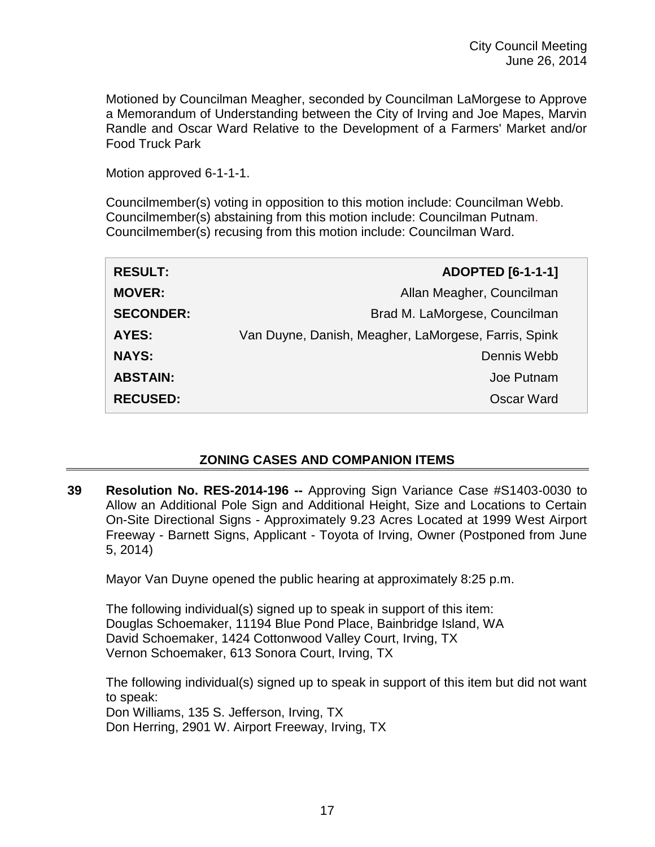Motioned by Councilman Meagher, seconded by Councilman LaMorgese to Approve a Memorandum of Understanding between the City of Irving and Joe Mapes, Marvin Randle and Oscar Ward Relative to the Development of a Farmers' Market and/or Food Truck Park

Motion approved 6-1-1-1.

Councilmember(s) voting in opposition to this motion include: Councilman Webb. Councilmember(s) abstaining from this motion include: Councilman Putnam. Councilmember(s) recusing from this motion include: Councilman Ward.

| <b>RESULT:</b>   | <b>ADOPTED [6-1-1-1]</b>                             |
|------------------|------------------------------------------------------|
| <b>MOVER:</b>    | Allan Meagher, Councilman                            |
| <b>SECONDER:</b> | Brad M. LaMorgese, Councilman                        |
| AYES:            | Van Duyne, Danish, Meagher, LaMorgese, Farris, Spink |
| <b>NAYS:</b>     | Dennis Webb                                          |
| <b>ABSTAIN:</b>  | Joe Putnam                                           |
| <b>RECUSED:</b>  | Oscar Ward                                           |

## **ZONING CASES AND COMPANION ITEMS**

**39 Resolution No. RES-2014-196 --** Approving Sign Variance Case #S1403-0030 to Allow an Additional Pole Sign and Additional Height, Size and Locations to Certain On-Site Directional Signs - Approximately 9.23 Acres Located at 1999 West Airport Freeway - Barnett Signs, Applicant - Toyota of Irving, Owner (Postponed from June 5, 2014)

Mayor Van Duyne opened the public hearing at approximately 8:25 p.m.

The following individual(s) signed up to speak in support of this item: Douglas Schoemaker, 11194 Blue Pond Place, Bainbridge Island, WA David Schoemaker, 1424 Cottonwood Valley Court, Irving, TX Vernon Schoemaker, 613 Sonora Court, Irving, TX

The following individual(s) signed up to speak in support of this item but did not want to speak: Don Williams, 135 S. Jefferson, Irving, TX Don Herring, 2901 W. Airport Freeway, Irving, TX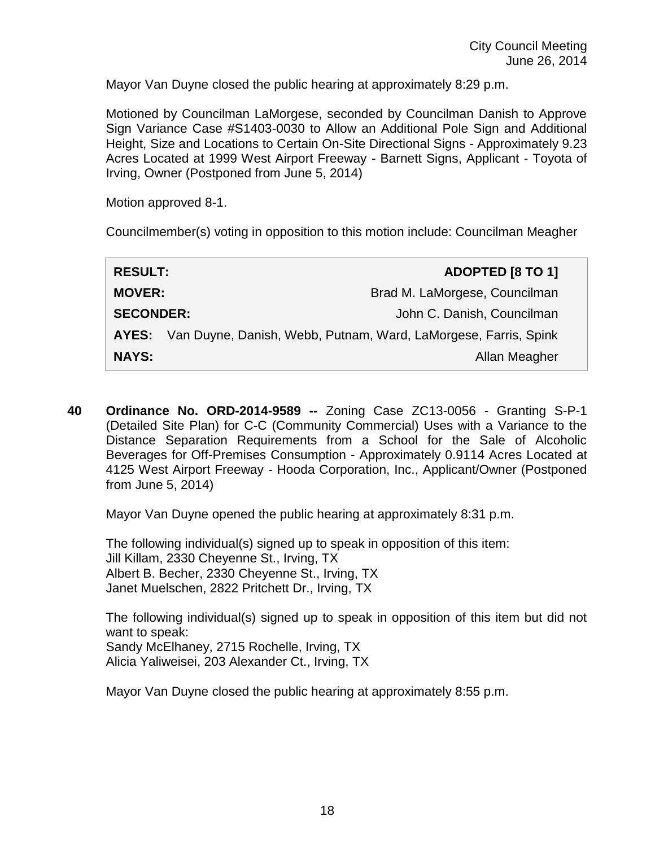Mayor Van Duyne closed the public hearing at approximately 8:29 p.m.

Motioned by Councilman LaMorgese, seconded by Councilman Danish to Approve Sign Variance Case #S1403-0030 to Allow an Additional Pole Sign and Additional Height, Size and Locations to Certain On-Site Directional Signs - Approximately 9.23 Acres Located at 1999 West Airport Freeway - Barnett Signs, Applicant - Toyota of Irving, Owner (Postponed from June 5, 2014)

Motion approved 8-1.

Councilmember(s) voting in opposition to this motion include: Councilman Meagher

| <b>RESULT:</b>   |                                                                       | ADOPTED [8 TO 1]              |
|------------------|-----------------------------------------------------------------------|-------------------------------|
| <b>MOVER:</b>    |                                                                       | Brad M. LaMorgese, Councilman |
| <b>SECONDER:</b> |                                                                       | John C. Danish, Councilman    |
|                  | AYES: Van Duyne, Danish, Webb, Putnam, Ward, LaMorgese, Farris, Spink |                               |
| <b>NAYS:</b>     |                                                                       | Allan Meagher                 |

**40 Ordinance No. ORD-2014-9589 --** Zoning Case ZC13-0056 - Granting S-P-1 (Detailed Site Plan) for C-C (Community Commercial) Uses with a Variance to the Distance Separation Requirements from a School for the Sale of Alcoholic Beverages for Off-Premises Consumption - Approximately 0.9114 Acres Located at 4125 West Airport Freeway - Hooda Corporation, Inc., Applicant/Owner (Postponed from June 5, 2014)

Mayor Van Duyne opened the public hearing at approximately 8:31 p.m.

The following individual(s) signed up to speak in opposition of this item: Jill Killam, 2330 Cheyenne St., Irving, TX Albert B. Becher, 2330 Cheyenne St., Irving, TX Janet Muelschen, 2822 Pritchett Dr., Irving, TX

The following individual(s) signed up to speak in opposition of this item but did not want to speak: Sandy McElhaney, 2715 Rochelle, Irving, TX Alicia Yaliweisei, 203 Alexander Ct., Irving, TX

Mayor Van Duyne closed the public hearing at approximately 8:55 p.m.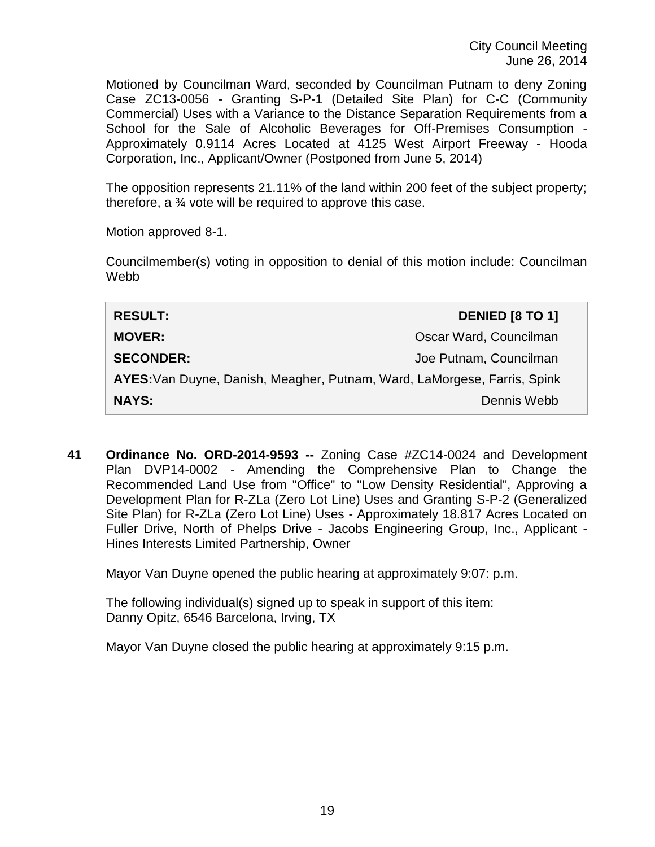Motioned by Councilman Ward, seconded by Councilman Putnam to deny Zoning Case ZC13-0056 - Granting S-P-1 (Detailed Site Plan) for C-C (Community Commercial) Uses with a Variance to the Distance Separation Requirements from a School for the Sale of Alcoholic Beverages for Off-Premises Consumption - Approximately 0.9114 Acres Located at 4125 West Airport Freeway - Hooda Corporation, Inc., Applicant/Owner (Postponed from June 5, 2014)

The opposition represents 21.11% of the land within 200 feet of the subject property; therefore, a ¾ vote will be required to approve this case.

Motion approved 8-1.

Councilmember(s) voting in opposition to denial of this motion include: Councilman Webb

| <b>RESULT:</b>                                                           | <b>DENIED [8 TO 1]</b> |  |
|--------------------------------------------------------------------------|------------------------|--|
| <b>MOVER:</b>                                                            | Oscar Ward, Councilman |  |
| <b>SECONDER:</b>                                                         | Joe Putnam, Councilman |  |
| AYES: Van Duyne, Danish, Meagher, Putnam, Ward, LaMorgese, Farris, Spink |                        |  |
| <b>NAYS:</b>                                                             | Dennis Webb            |  |

**41 Ordinance No. ORD-2014-9593 --** Zoning Case #ZC14-0024 and Development Plan DVP14-0002 - Amending the Comprehensive Plan to Change the Recommended Land Use from "Office" to "Low Density Residential", Approving a Development Plan for R-ZLa (Zero Lot Line) Uses and Granting S-P-2 (Generalized Site Plan) for R-ZLa (Zero Lot Line) Uses - Approximately 18.817 Acres Located on Fuller Drive, North of Phelps Drive - Jacobs Engineering Group, Inc., Applicant - Hines Interests Limited Partnership, Owner

Mayor Van Duyne opened the public hearing at approximately 9:07: p.m.

The following individual(s) signed up to speak in support of this item: Danny Opitz, 6546 Barcelona, Irving, TX

Mayor Van Duyne closed the public hearing at approximately 9:15 p.m.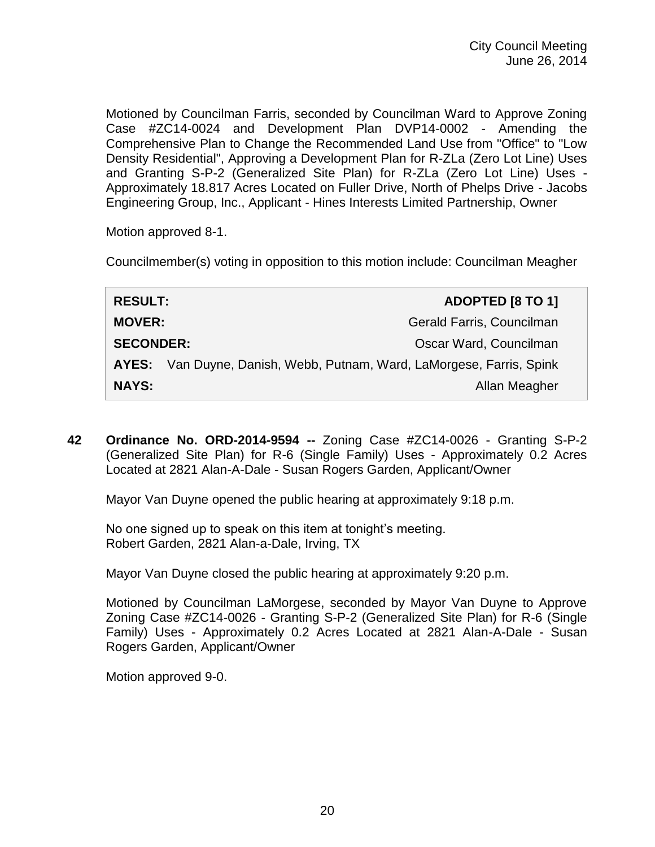Motioned by Councilman Farris, seconded by Councilman Ward to Approve Zoning Case #ZC14-0024 and Development Plan DVP14-0002 - Amending the Comprehensive Plan to Change the Recommended Land Use from "Office" to "Low Density Residential", Approving a Development Plan for R-ZLa (Zero Lot Line) Uses and Granting S-P-2 (Generalized Site Plan) for R-ZLa (Zero Lot Line) Uses - Approximately 18.817 Acres Located on Fuller Drive, North of Phelps Drive - Jacobs Engineering Group, Inc., Applicant - Hines Interests Limited Partnership, Owner

Motion approved 8-1.

Councilmember(s) voting in opposition to this motion include: Councilman Meagher

| <b>RESULT:</b>   |                                                                       | ADOPTED [8 TO 1]          |
|------------------|-----------------------------------------------------------------------|---------------------------|
| <b>MOVER:</b>    |                                                                       | Gerald Farris, Councilman |
| <b>SECONDER:</b> |                                                                       | Oscar Ward, Councilman    |
|                  | AYES: Van Duyne, Danish, Webb, Putnam, Ward, LaMorgese, Farris, Spink |                           |
| <b>NAYS:</b>     |                                                                       | Allan Meagher             |

**42 Ordinance No. ORD-2014-9594 --** Zoning Case #ZC14-0026 - Granting S-P-2 (Generalized Site Plan) for R-6 (Single Family) Uses - Approximately 0.2 Acres Located at 2821 Alan-A-Dale - Susan Rogers Garden, Applicant/Owner

Mayor Van Duyne opened the public hearing at approximately 9:18 p.m.

No one signed up to speak on this item at tonight's meeting. Robert Garden, 2821 Alan-a-Dale, Irving, TX

Mayor Van Duyne closed the public hearing at approximately 9:20 p.m.

Motioned by Councilman LaMorgese, seconded by Mayor Van Duyne to Approve Zoning Case #ZC14-0026 - Granting S-P-2 (Generalized Site Plan) for R-6 (Single Family) Uses - Approximately 0.2 Acres Located at 2821 Alan-A-Dale - Susan Rogers Garden, Applicant/Owner

Motion approved 9-0.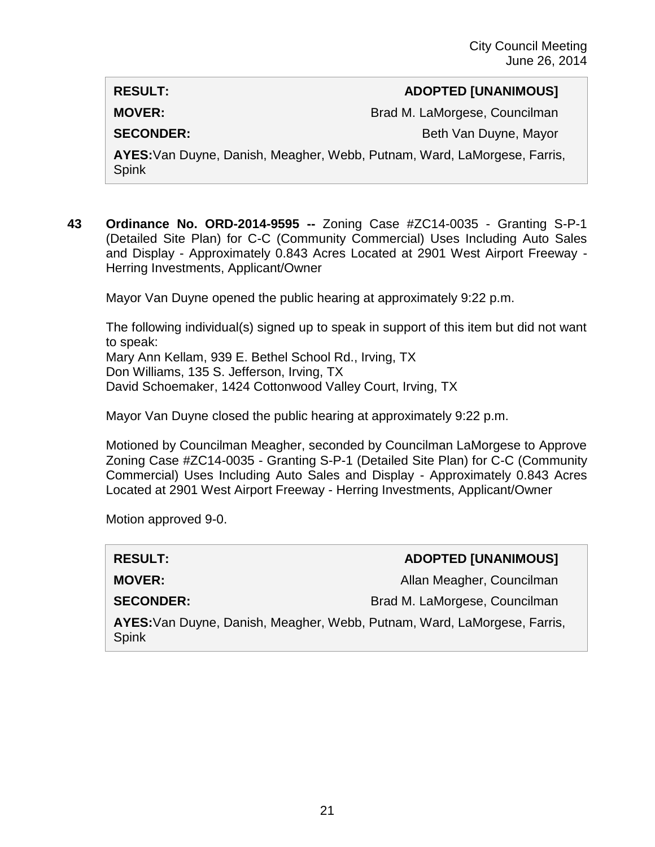## **RESULT: ADOPTED [UNANIMOUS]**

**MOVER:** Brad M. LaMorgese, Councilman

**SECONDER:** Beth Van Duyne, Mayor

**AYES:**Van Duyne, Danish, Meagher, Webb, Putnam, Ward, LaMorgese, Farris, Spink

**43 Ordinance No. ORD-2014-9595 --** Zoning Case #ZC14-0035 - Granting S-P-1 (Detailed Site Plan) for C-C (Community Commercial) Uses Including Auto Sales and Display - Approximately 0.843 Acres Located at 2901 West Airport Freeway - Herring Investments, Applicant/Owner

Mayor Van Duyne opened the public hearing at approximately 9:22 p.m.

The following individual(s) signed up to speak in support of this item but did not want to speak:

Mary Ann Kellam, 939 E. Bethel School Rd., Irving, TX Don Williams, 135 S. Jefferson, Irving, TX David Schoemaker, 1424 Cottonwood Valley Court, Irving, TX

Mayor Van Duyne closed the public hearing at approximately 9:22 p.m.

Motioned by Councilman Meagher, seconded by Councilman LaMorgese to Approve Zoning Case #ZC14-0035 - Granting S-P-1 (Detailed Site Plan) for C-C (Community Commercial) Uses Including Auto Sales and Display - Approximately 0.843 Acres Located at 2901 West Airport Freeway - Herring Investments, Applicant/Owner

Motion approved 9-0.

## **RESULT: ADOPTED [UNANIMOUS]**

**MOVER:** Allan Meagher, Councilman

**SECONDER:** Brad M. LaMorgese, Councilman

**AYES:**Van Duyne, Danish, Meagher, Webb, Putnam, Ward, LaMorgese, Farris, Spink